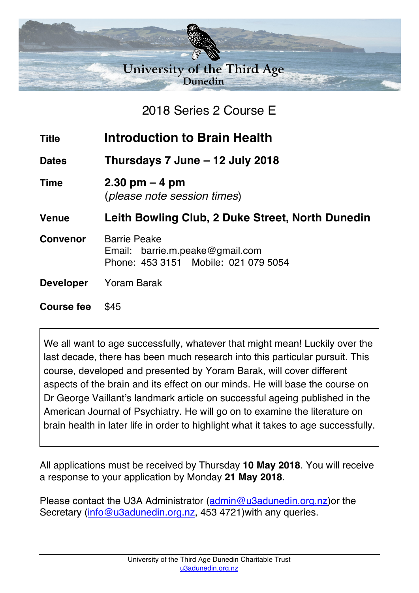

2018 Series 2 Course E

**Title Introduction to Brain Health**

**Dates Thursdays 7 June – 12 July 2018**

**Time 2.30 pm – 4 pm** (*please note session times*)

**Venue Leith Bowling Club, 2 Duke Street, North Dunedin**

- **Convenor** Barrie Peake Email: barrie.m.peake@gmail.com Phone: 453 3151 Mobile: 021 079 5054
- **Developer** Yoram Barak

**Course fee** \$45

We all want to age successfully, whatever that might mean! Luckily over the last decade, there has been much research into this particular pursuit. This course, developed and presented by Yoram Barak, will cover different aspects of the brain and its effect on our minds. He will base the course on Dr George Vaillant's landmark article on successful ageing published in the American Journal of Psychiatry. He will go on to examine the literature on brain health in later life in order to highlight what it takes to age successfully.

All applications must be received by Thursday **10 May 2018**. You will receive a response to your application by Monday **21 May 2018**.

Please contact the U3A Administrator (admin@u3adunedin.org.nz) or the Secretary (info@u3adunedin.org.nz, 453 4721) with any queries.